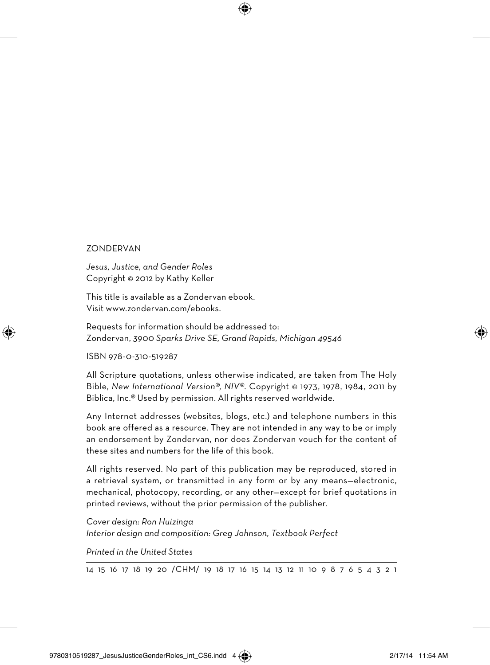#### ZONDERVAN

*Jesus, Justice, and Gender Roles* Copyright © 2012 by Kathy Keller

This title is available as a Zondervan ebook. Visit www.zondervan.com/ebooks.

Requests for information should be addressed to: Zondervan, *3900 Sparks Drive SE, Grand Rapids, Michigan 49546*

ISBN 978-0-310-519287

All Scripture quotations, unless otherwise indicated, are taken from The Holy Bible, *New International Version®, NIV®*. Copyright © 1973, 1978, 1984, 2011 by Biblica, Inc.*®* Used by permission. All rights reserved worldwide.

Any Internet addresses (websites, blogs, etc.) and telephone numbers in this book are offered as a resource. They are not intended in any way to be or imply an endorsement by Zondervan, nor does Zondervan vouch for the content of these sites and numbers for the life of this book.

All rights reserved. No part of this publication may be reproduced, stored in a retrieval system, or transmitted in any form or by any means—electronic, mechanical, photocopy, recording, or any other—except for brief quotations in printed reviews, without the prior permission of the publisher.

*Cover design: Ron Huizinga Interior design and composition: Greg Johnson, Textbook Perfect*

*Printed in the United States*

14 15 16 17 18 19 20 /CHM/ 19 18 17 16 15 14 13 12 11 10 9 8 7 6 5 4 3 2 1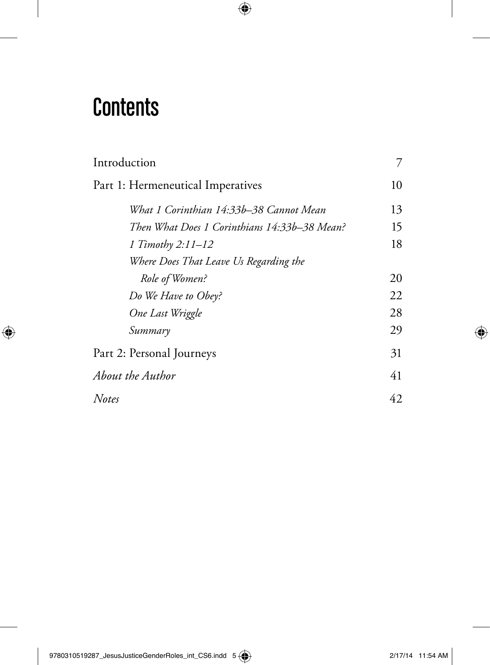# **Contents**

| Introduction                                 | 7   |
|----------------------------------------------|-----|
| Part 1: Hermeneutical Imperatives            | 10  |
| What 1 Corinthian 14:33b–38 Cannot Mean      | 13  |
| Then What Does 1 Corinthians 14:33b–38 Mean? | 15  |
| 1 Timothy 2:11–12                            | 18  |
| Where Does That Leave Us Regarding the       |     |
| Role of Women?                               | 20  |
| Do We Have to Obey?                          | 22  |
| One Last Wriggle                             | 28  |
| Summary                                      | 29  |
| Part 2: Personal Journeys                    | 31  |
| About the Author                             | 41  |
| Notes                                        | 42. |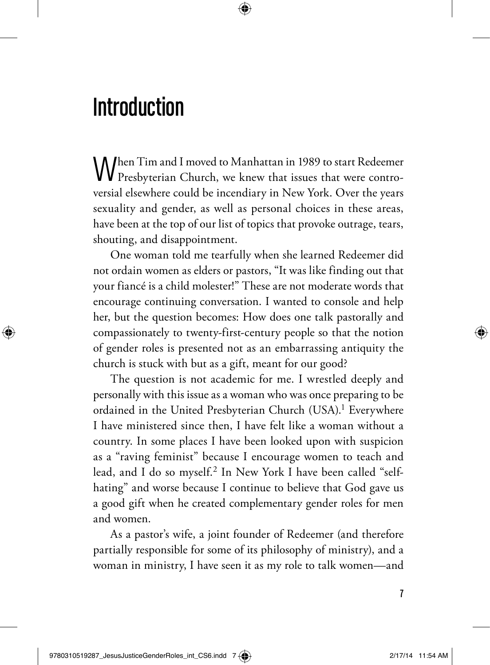## **Introduction**

When Tim and I moved to Manhattan in 1989 to start Redeemer Presbyterian Church, we knew that issues that were controversial elsewhere could be incendiary in New York. Over the years sexuality and gender, as well as personal choices in these areas, have been at the top of our list of topics that provoke outrage, tears, shouting, and disappointment.

One woman told me tearfully when she learned Redeemer did not ordain women as elders or pastors, "It was like finding out that your fiancé is a child molester!" These are not moderate words that encourage continuing conversation. I wanted to console and help her, but the question becomes: How does one talk pastorally and compassionately to twenty-first-century people so that the notion of gender roles is presented not as an embarrassing antiquity the church is stuck with but as a gift, meant for our good?

The question is not academic for me. I wrestled deeply and personally with this issue as a woman who was once preparing to be ordained in the United Presbyterian Church (USA).<sup>1</sup> Everywhere I have ministered since then, I have felt like a woman without a country. In some places I have been looked upon with suspicion as a "raving feminist" because I encourage women to teach and lead, and I do so myself.<sup>2</sup> In New York I have been called "selfhating" and worse because I continue to believe that God gave us a good gift when he created complementary gender roles for men and women.

As a pastor's wife, a joint founder of Redeemer (and therefore partially responsible for some of its philosophy of ministry), and a woman in ministry, I have seen it as my role to talk women—and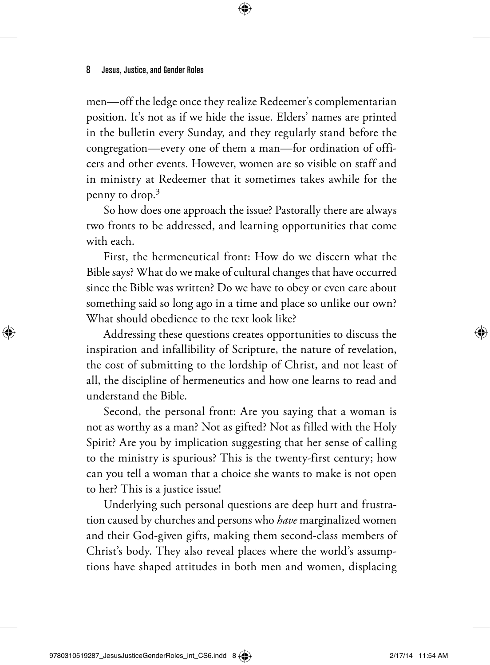men—off the ledge once they realize Redeemer's complementarian position. It's not as if we hide the issue. Elders' names are printed in the bulletin every Sunday, and they regularly stand before the congregation—every one of them a man—for ordination of officers and other events. However, women are so visible on staff and in ministry at Redeemer that it sometimes takes awhile for the penny to drop.3

So how does one approach the issue? Pastorally there are always two fronts to be addressed, and learning opportunities that come with each.

First, the hermeneutical front: How do we discern what the Bible says? What do we make of cultural changes that have occurred since the Bible was written? Do we have to obey or even care about something said so long ago in a time and place so unlike our own? What should obedience to the text look like?

Addressing these questions creates opportunities to discuss the inspiration and infallibility of Scripture, the nature of revelation, the cost of submitting to the lordship of Christ, and not least of all, the discipline of hermeneutics and how one learns to read and understand the Bible.

Second, the personal front: Are you saying that a woman is not as worthy as a man? Not as gifted? Not as filled with the Holy Spirit? Are you by implication suggesting that her sense of calling to the ministry is spurious? This is the twenty-first century; how can you tell a woman that a choice she wants to make is not open to her? This is a justice issue!

Underlying such personal questions are deep hurt and frustration caused by churches and persons who *have* marginalized women and their God-given gifts, making them second-class members of Christ's body. They also reveal places where the world's assumptions have shaped attitudes in both men and women, displacing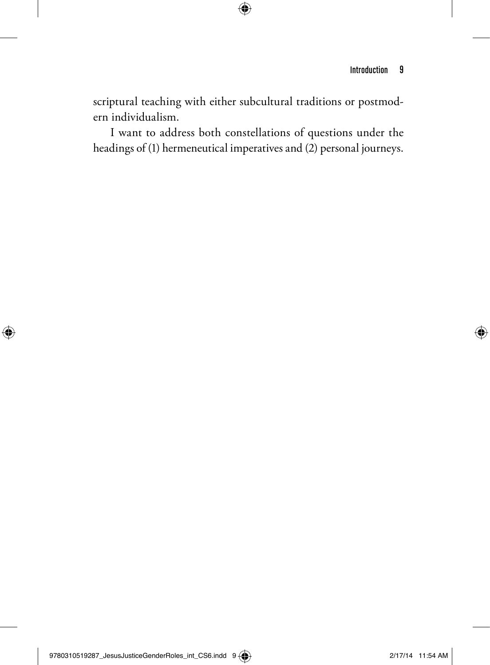scriptural teaching with either subcultural traditions or postmodern individualism.

I want to address both constellations of questions under the headings of (1) hermeneutical imperatives and (2) personal journeys.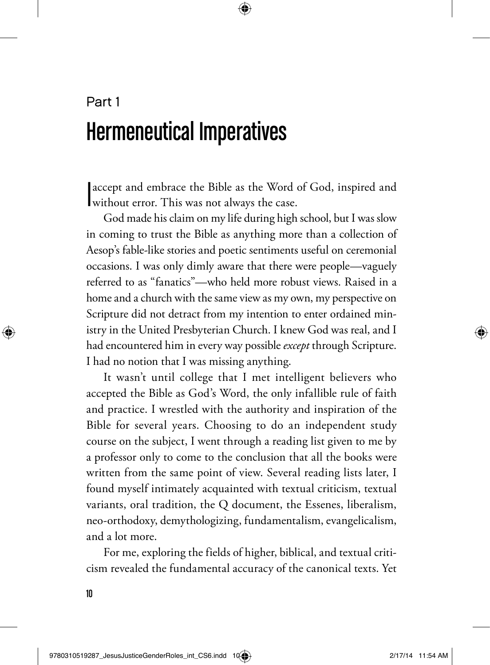### Part 1 Hermeneutical Imperatives

accept and embrace the Bible as the Word of God, inspired and without error. This was not always the case.

God made his claim on my life during high school, but I was slow in coming to trust the Bible as anything more than a collection of Aesop's fable-like stories and poetic sentiments useful on ceremonial occasions. I was only dimly aware that there were people—vaguely referred to as "fanatics"—who held more robust views. Raised in a home and a church with the same view as my own, my perspective on Scripture did not detract from my intention to enter ordained ministry in the United Presbyterian Church. I knew God was real, and I had encountered him in every way possible *except* through Scripture. I had no notion that I was missing anything.

It wasn't until college that I met intelligent believers who accepted the Bible as God's Word, the only infallible rule of faith and practice. I wrestled with the authority and inspiration of the Bible for several years. Choosing to do an independent study course on the subject, I went through a reading list given to me by a professor only to come to the conclusion that all the books were written from the same point of view. Several reading lists later, I found myself intimately acquainted with textual criticism, textual variants, oral tradition, the Q document, the Essenes, liberalism, neo-orthodoxy, demythologizing, fundamentalism, evangelicalism, and a lot more.

For me, exploring the fields of higher, biblical, and textual criticism revealed the fundamental accuracy of the canonical texts. Yet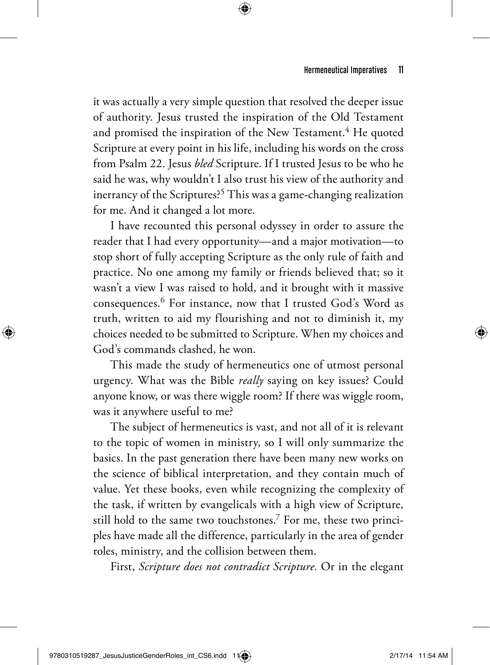it was actually a very simple question that resolved the deeper issue of authority. Jesus trusted the inspiration of the Old Testament and promised the inspiration of the New Testament.<sup>4</sup> He quoted Scripture at every point in his life, including his words on the cross from Psalm 22. Jesus *bled* Scripture. If I trusted Jesus to be who he said he was, why wouldn't I also trust his view of the authority and inerrancy of the Scriptures?<sup>5</sup> This was a game-changing realization for me. And it changed a lot more.

I have recounted this personal odyssey in order to assure the reader that I had every opportunity—and a major motivation—to stop short of fully accepting Scripture as the only rule of faith and practice. No one among my family or friends believed that; so it wasn't a view I was raised to hold, and it brought with it massive consequences.6 For instance, now that I trusted God's Word as truth, written to aid my flourishing and not to diminish it, my choices needed to be submitted to Scripture. When my choices and God's commands clashed, he won.

This made the study of hermeneutics one of utmost personal urgency. What was the Bible *really* saying on key issues? Could anyone know, or was there wiggle room? If there was wiggle room, was it anywhere useful to me?

The subject of hermeneutics is vast, and not all of it is relevant to the topic of women in ministry, so I will only summarize the basics. In the past generation there have been many new works on the science of biblical interpretation, and they contain much of value. Yet these books, even while recognizing the complexity of the task, if written by evangelicals with a high view of Scripture, still hold to the same two touchstones.<sup>7</sup> For me, these two principles have made all the difference, particularly in the area of gender roles, ministry, and the collision between them.

First, *Scripture does not contradict Scripture.* Or in the elegant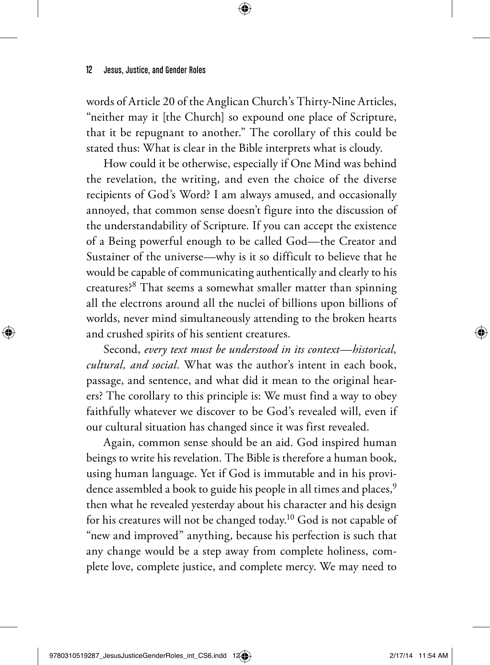words of Article 20 of the Anglican Church's Thirty-Nine Articles, "neither may it [the Church] so expound one place of Scripture, that it be repugnant to another." The corollary of this could be stated thus: What is clear in the Bible interprets what is cloudy.

How could it be otherwise, especially if One Mind was behind the revelation, the writing, and even the choice of the diverse recipients of God's Word? I am always amused, and occasionally annoyed, that common sense doesn't figure into the discussion of the understandability of Scripture. If you can accept the existence of a Being powerful enough to be called God—the Creator and Sustainer of the universe—why is it so difficult to believe that he would be capable of communicating authentically and clearly to his creatures?8 That seems a somewhat smaller matter than spinning all the electrons around all the nuclei of billions upon billions of worlds, never mind simultaneously attending to the broken hearts and crushed spirits of his sentient creatures.

Second, *every text must be understood in its context—historical, cultural, and social.* What was the author's intent in each book, passage, and sentence, and what did it mean to the original hearers? The corollary to this principle is: We must find a way to obey faithfully whatever we discover to be God's revealed will, even if our cultural situation has changed since it was first revealed.

Again, common sense should be an aid. God inspired human beings to write his revelation. The Bible is therefore a human book, using human language. Yet if God is immutable and in his providence assembled a book to guide his people in all times and places,<sup>9</sup> then what he revealed yesterday about his character and his design for his creatures will not be changed today.<sup>10</sup> God is not capable of "new and improved" anything, because his perfection is such that any change would be a step away from complete holiness, complete love, complete justice, and complete mercy. We may need to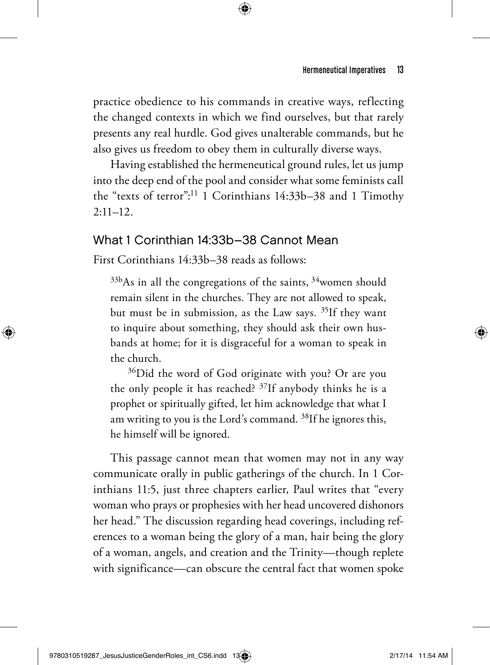practice obedience to his commands in creative ways, reflecting the changed contexts in which we find ourselves, but that rarely presents any real hurdle. God gives unalterable commands, but he also gives us freedom to obey them in culturally diverse ways.

Having established the hermeneutical ground rules, let us jump into the deep end of the pool and consider what some feminists call the "texts of terror":11 1 Corinthians 14:33b–38 and 1 Timothy  $2.11 - 12$ 

#### What 1 Corinthian 14:33b–38 Cannot Mean

First Corinthians 14:33b–38 reads as follows:

 $33<sup>b</sup>$ As in all the congregations of the saints,  $3<sup>4</sup>$  women should remain silent in the churches. They are not allowed to speak, but must be in submission, as the Law says.  $35$ If they want to inquire about something, they should ask their own husbands at home; for it is disgraceful for a woman to speak in the church.

<sup>36</sup>Did the word of God originate with you? Or are you the only people it has reached? 37If anybody thinks he is a prophet or spiritually gifted, let him acknowledge that what I am writing to you is the Lord's command. 38If he ignores this, he himself will be ignored.

This passage cannot mean that women may not in any way communicate orally in public gatherings of the church. In 1 Corinthians 11:5, just three chapters earlier, Paul writes that "every woman who prays or prophesies with her head uncovered dishonors her head." The discussion regarding head coverings, including references to a woman being the glory of a man, hair being the glory of a woman, angels, and creation and the Trinity—though replete with significance—can obscure the central fact that women spoke